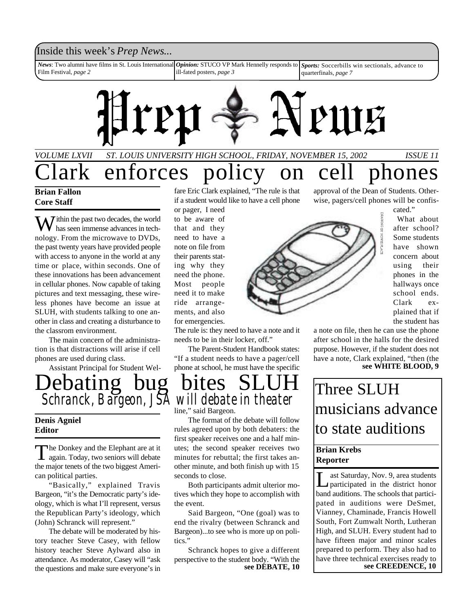### Inside this week's *Prep News*...

*News*: Two alumni have films in St. Louis International Film Festival, *page 2 Sports:* Soccerbills win sectionals, advance to quarterfinals, *page 7 Opinion:* STUCO VP Mark Hennelly responds to ill-fated posters, *page 3*



## *VOLUME LXVII ST. LOUIS UNIVERSITY HIGH SCHOOL, FRIDAY, NOVEMBER 15, 2002 ISSUE 11* enforces policy on cell phones

#### **Brian Fallon Core Staff**

 $\overline{J}$  ithin the past two decades, the world has seen immense advances in technology. From the microwave to DVDs, the past twenty years have provided people with access to anyone in the world at any time or place, within seconds. One of these innovations has been advancement in cellular phones. Now capable of taking pictures and text messaging, these wireless phones have become an issue at SLUH, with students talking to one another in class and creating a disturbance to the classrom environment.

The main concern of the administration is that distractions will arise if cell phones are used during class.

Assistant Principal for Student Wel-

fare Eric Clark explained, "The rule is that if a student would like to have a cell phone

or pager, I need to be aware of that and they need to have a note on file from their parents stating why they need the phone. Most people need it to make ride arrangements, and also for emergencies.

The rule is: they need to have a note and it needs to be in their locker, off."

The Parent-Student Handbook states: "If a student needs to have a pager/cell phone at school, he must have the specific



#### **Denis Agniel Editor**

The Donkey and the Elephant are at it<br>again. Today, two seniors will debate again. Today, two seniors will debate the major tenets of the two biggest American political parties.

"Basically," explained Travis Bargeon, "it's the Democratic party's ideology, which is what I'll represent, versus the Republican Party's ideology, which (John) Schranck will represent."

The debate will be moderated by history teacher Steve Casey, with fellow history teacher Steve Aylward also in attendance. As moderator, Casey will "ask the questions and make sure everyone's in

The format of the debate will follow rules agreed upon by both debaters: the first speaker receives one and a half minutes; the second speaker receives two minutes for rebuttal; the first takes another minute, and both finish up with 15 seconds to close.

Both participants admit ulterior motives which they hope to accomplish with the event.

Said Bargeon, "One (goal) was to end the rivalry (between Schranck and Bargeon)...to see who is more up on politics."

Schranck hopes to give a different perspective to the student body. "With the see DEBATE, 10

approval of the Dean of Students. Otherwise, pagers/cell phones will be confiscated."



What about after school? Some students have shown concern about using their phones in the hallways once school ends. Clark explained that if the student has

a note on file, then he can use the phone after school in the halls for the desired purpose. However, if the student does not have a note, Clark explained, "then (the **see WHITE BLOOD, 9**

# Three SLUH musicians advance to state auditions

#### **Brian Krebs Reporter**

Last Saturday, Nov. 9, area students<br>participated in the district honor ast Saturday, Nov. 9, area students band auditions. The schools that participated in auditions were DeSmet, Vianney, Chaminade, Francis Howell South, Fort Zumwalt North, Lutheran High, and SLUH. Every student had to have fifteen major and minor scales prepared to perform. They also had to have three technical exercises ready to **see CREEDENCE, 10**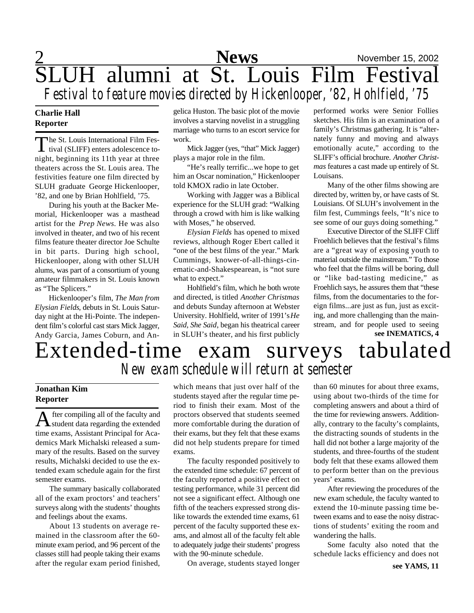# $2$  News November 15, 2002 SLUH alumni at St. Louis Film Festival *Festival to feature movies directed by Hickenlooper, '82, Hohlfield, '75*

#### **Charlie Hall Reporter**

The St. Louis International Film Fes-<br>tival (SLIFF) enters adolescence tohe St. Louis International Film Fesnight, beginning its 11th year at three theaters across the St. Louis area. The festivities feature one film directed by SLUH graduate George Hickenlooper, '82, and one by Brian Hohlfield, '75.

During his youth at the Backer Memorial, Hickenlooper was a masthead artist for the *Prep News*. He was also involved in theater, and two of his recent films feature theater director Joe Schulte in bit parts. During high school, Hickenlooper, along with other SLUH alums, was part of a consortium of young amateur filmmakers in St. Louis known as "The Splicers."

Hickenlooper's film, *The Man from Elysian Fields*, debuts in St. Louis Saturday night at the Hi-Pointe. The independent film's colorful cast stars Mick Jagger, Andy Garcia, James Coburn, and Angelica Huston. The basic plot of the movie involves a starving novelist in a struggling marriage who turns to an escort service for work.

Mick Jagger (yes, "that" Mick Jagger) plays a major role in the film.

"He's really terrific...we hope to get him an Oscar nomination," Hickenlooper told KMOX radio in late October.

Working with Jagger was a Biblical experience for the SLUH grad: "Walking through a crowd with him is like walking with Moses," he observed.

*Elysian Fields* has opened to mixed reviews, although Roger Ebert called it "one of the best films of the year." Mark Cummings, knower-of-all-things-cinematic-and-Shakespearean, is "not sure what to expect."

Hohlfield's film, which he both wrote and directed, is titled *Another Christmas* and debuts Sunday afternoon at Webster University. Hohlfield, writer of 1991's *He Said, She Said*, began his theatrical career in SLUH's theater, and his first publicly

performed works were Senior Follies sketches. His film is an examination of a family's Christmas gathering. It is "alternately funny and moving and always emotionally acute," according to the SLIFF's official brochure. *Another Christmas* features a cast made up entirely of St. Louisans.

Many of the other films showing are directed by, written by, or have casts of St. Louisians. Of SLUH's involvement in the film fest, Cummings feels, "It's nice to see some of our guys doing something."

Executive Director of the SLIFF Cliff Froehlich believes that the festival's films are a "great way of exposing youth to material outside the mainstream." To those who feel that the films will be boring, dull or "like bad-tasting medicine," as Froehlich says, he assures them that "these films, from the documentaries to the foreign films...are just as fun, just as exciting, and more challenging than the mainstream, and for people used to seeing **see INEMATICS, 4**

# Extended-time exam surveys tabulated *New exam schedule will return at semester*

#### **Jonathan Kim Reporter**

A fter compiling all of the faculty and<br>student data regarding the extended fter compiling all of the faculty and time exams, Assistant Principal for Academics Mark Michalski released a summary of the results. Based on the survey results, Michalski decided to use the extended exam schedule again for the first semester exams.

The summary basically collaborated all of the exam proctors' and teachers' surveys along with the students' thoughts and feelings about the exams.

About 13 students on average remained in the classroom after the 60 minute exam period, and 96 percent of the classes still had people taking their exams after the regular exam period finished,

which means that just over half of the students stayed after the regular time period to finish their exam. Most of the proctors observed that students seemed more comfortable during the duration of their exams, but they felt that these exams did not help students prepare for timed exams.

The faculty responded positively to the extended time schedule: 67 percent of the faculty reported a positive effect on testing performance, while 31 percent did not see a significant effect. Although one fifth of the teachers expressed strong dislike towards the extended time exams, 61 percent of the faculty supported these exams, and almost all of the faculty felt able to adequately judge their students' progress with the 90-minute schedule.

On average, students stayed longer

than 60 minutes for about three exams, using about two-thirds of the time for completing answers and about a third of the time for reviewing answers. Additionally, contrary to the faculty's complaints, the distracting sounds of students in the hall did not bother a large majority of the students, and three-fourths of the student body felt that these exams allowed them to perform better than on the previous years' exams.

After reviewing the procedures of the new exam schedule, the faculty wanted to extend the 10-minute passing time between exams and to ease the noisy distractions of students' exiting the room and wandering the halls.

Some faculty also noted that the schedule lacks efficiency and does not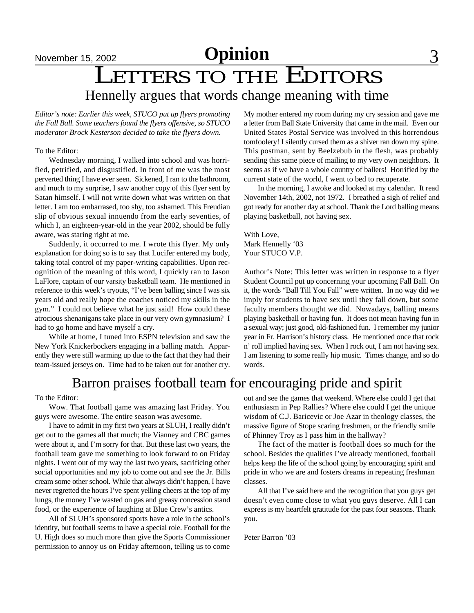# LETTERS TO THE EDITORS Hennelly argues that words change meaning with time

*Editor's note: Earlier this week, STUCO put up flyers promoting the Fall Ball. Some teachers found the flyers offensive, so STUCO moderator Brock Kesterson decided to take the flyers down.*

#### To the Editor:

Wednesday morning, I walked into school and was horrified, petrified, and disgustified. In front of me was the most perverted thing I have ever seen. Sickened, I ran to the bathroom, and much to my surprise, I saw another copy of this flyer sent by Satan himself. I will not write down what was written on that letter. I am too embarrased, too shy, too ashamed. This Freudian slip of obvious sexual innuendo from the early seventies, of which I, an eighteen-year-old in the year 2002, should be fully aware, was staring right at me.

Suddenly, it occurred to me. I wrote this flyer. My only explanation for doing so is to say that Lucifer entered my body, taking total control of my paper-writing capabilities. Upon recognition of the meaning of this word, I quickly ran to Jason LaFlore, captain of our varsity basketball team. He mentioned in reference to this week's tryouts, "I've been balling since I was six years old and really hope the coaches noticed my skills in the gym." I could not believe what he just said! How could these atrocious shenanigans take place in our very own gymnasium? I had to go home and have myself a cry.

While at home, I tuned into ESPN television and saw the New York Knickerbockers engaging in a balling match. Apparently they were still warming up due to the fact that they had their team-issued jerseys on. Time had to be taken out for another cry. My mother entered my room during my cry session and gave me a letter from Ball State University that came in the mail. Even our United States Postal Service was involved in this horrendous tomfoolery! I silently cursed them as a shiver ran down my spine. This postman, sent by Beelzebub in the flesh, was probably sending this same piece of mailing to my very own neighbors. It seems as if we have a whole country of ballers! Horrified by the current state of the world, I went to bed to recuperate.

In the morning, I awoke and looked at my calendar. It read November 14th, 2002, not 1972. I breathed a sigh of relief and got ready for another day at school. Thank the Lord balling means playing basketball, not having sex.

With Love, Mark Hennelly '03 Your STUCO V.P.

Author's Note: This letter was written in response to a flyer Student Council put up concerning your upcoming Fall Ball. On it, the words "Ball Till You Fall" were written. In no way did we imply for students to have sex until they fall down, but some faculty members thought we did. Nowadays, balling means playing basketball or having fun. It does not mean having fun in a sexual way; just good, old-fashioned fun. I remember my junior year in Fr. Harrison's history class. He mentioned once that rock n' roll implied having sex. When I rock out, I am not having sex. I am listening to some really hip music. Times change, and so do words.

### Barron praises football team for encouraging pride and spirit

To the Editor:

Wow. That football game was amazing last Friday. You guys were awesome. The entire season was awesome.

I have to admit in my first two years at SLUH, I really didn't get out to the games all that much; the Vianney and CBC games were about it, and I'm sorry for that. But these last two years, the football team gave me something to look forward to on Friday nights. I went out of my way the last two years, sacrificing other social opportunities and my job to come out and see the Jr. Bills cream some other school. While that always didn't happen, I have never regretted the hours I've spent yelling cheers at the top of my lungs, the money I've wasted on gas and greasy concession stand food, or the experience of laughing at Blue Crew's antics.

All of SLUH's sponsored sports have a role in the school's identity, but football seems to have a special role. Football for the U. High does so much more than give the Sports Commissioner permission to annoy us on Friday afternoon, telling us to come out and see the games that weekend. Where else could I get that enthusiasm in Pep Rallies? Where else could I get the unique wisdom of C.J. Baricevic or Joe Azar in theology classes, the massive figure of Stope scaring freshmen, or the friendly smile of Phinney Troy as I pass him in the hallway?

The fact of the matter is football does so much for the school. Besides the qualities I've already mentioned, football helps keep the life of the school going by encouraging spirit and pride in who we are and fosters dreams in repeating freshman classes.

All that I've said here and the recognition that you guys get doesn't even come close to what you guys deserve. All I can express is my heartfelt gratitude for the past four seasons. Thank you.

Peter Barron '03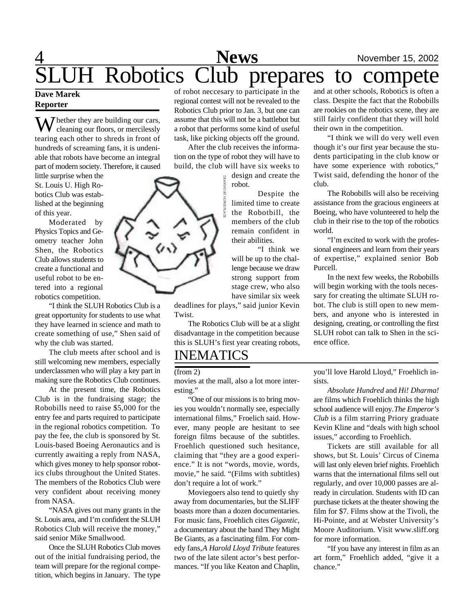# 4 **News** November 15, 2002 H Robotics Club prepares to compete

#### **Dave Marek Reporter**

 $\sum$  hether they are building our cars, cleaning our floors, or mercilessly tearing each other to shreds in front of hundreds of screaming fans, it is undeniable that robots have become an integral part of modern society. Therefore, it caused

little surprise when the St. Louis U. High Robotics Club was established at the beginning of this year.

Moderated by Physics Topics and Geometry teacher John Shen, the Robotics Club allows students to create a functional and useful robot to be entered into a regional robotics competition.

"I think the SLUH Robotics Club is a great opportunity for students to use what they have learned in science and math to create something of use," Shen said of why the club was started.

The club meets after school and is still welcoming new members, especially underclassmen who will play a key part in making sure the Robotics Club continues.

At the present time, the Robotics Club is in the fundraising stage; the Robobills need to raise \$5,000 for the entry fee and parts required to participate in the regional robotics competition. To pay the fee, the club is sponsored by St. Louis-based Boeing Aeronautics and is currently awaiting a reply from NASA, which gives money to help sponsor robotics clubs throughout the United States. The members of the Robotics Club were very confident about receiving money from NASA.

"NASA gives out many grants in the St. Louis area, and I'm confident the SLUH Robotics Club will receive the money," said senior Mike Smallwood.

Once the SLUH Robotics Club moves out of the initial fundraising period, the team will prepare for the regional competition, which begins in January. The type

of robot neccesary to participate in the regional contest will not be revealed to the Robotics Club prior to Jan. 3, but one can assume that this will not be a battlebot but a robot that performs some kind of useful task, like picking objects off the ground.

After the club receives the information on the type of robot they will have to build, the club will have six weeks to

> design and create the robot.

Despite the limited time to create the Robotbill, the members of the club remain confident in their abilities.

"I think we will be up to the challenge because we draw strong support from stage crew, who also have similar six week

deadlines for plays," said junior Kevin Twist.

The Robotics Club will be at a slight disadvantage in the competition because this is SLUH's first year creating robots,

## INEMATICS

#### $(from 2)$

movies at the mall, also a lot more interesting."

"One of our missions is to bring movies you wouldn't normally see, especially international films," Froelich said. However, many people are hesitant to see foreign films because of the subtitles. Froehlich questioned such hesitance, claiming that "they are a good experience." It is not "words, movie, words, movie," he said. "(Films with subtitles) don't require a lot of work."

Moviegoers also tend to quietly shy away from documentaries, but the SLIFF boasts more than a dozen documentaries. For music fans, Froehlich cites *Gigantic*, a documentary about the band They Might Be Giants, as a fascinating film. For comedy fans, *A Harold Lloyd Tribute* features two of the late silent actor's best performances. "If you like Keaton and Chaplin,

and at other schools, Robotics is often a class. Despite the fact that the Robobills are rookies on the robotics scene, they are still fairly confident that they will hold their own in the competition.

"I think we will do very well even though it's our first year because the students participating in the club know or have some experience with robotics," Twist said, defending the honor of the club.

The Robobills will also be receiving assistance from the gracious engineers at Boeing, who have volunteered to help the club in their rise to the top of the robotics world.

"I'm excited to work with the professional engineers and learn from their years of expertise," explained senior Bob Purcell.

In the next few weeks, the Robobills will begin working with the tools necessary for creating the ultimate SLUH robot. The club is still open to new members, and anyone who is interested in designing, creating, or controlling the first SLUH robot can talk to Shen in the science office.

you'll love Harold Lloyd," Froehlich insists.

*Absolute Hundred* and *Hi! Dharma!* are films which Froehlich thinks the high school audience will enjoy. *The Emperor's Club* is a film starring Priory graduate Kevin Kline and "deals with high school issues," according to Froehlich.

Tickets are still available for all shows, but St. Louis' Circus of Cinema will last only eleven brief nights. Froehlich warns that the international films sell out regularly, and over 10,000 passes are already in circulation. Students with ID can purchase tickets at the theater showing the film for \$7. Films show at the Tivoli, the Hi-Pointe, and at Webster University's Moore Auditorium. Visit www.sliff.org for more information.

"If you have any interest in film as an art form," Froehlich added, "give it a chance."

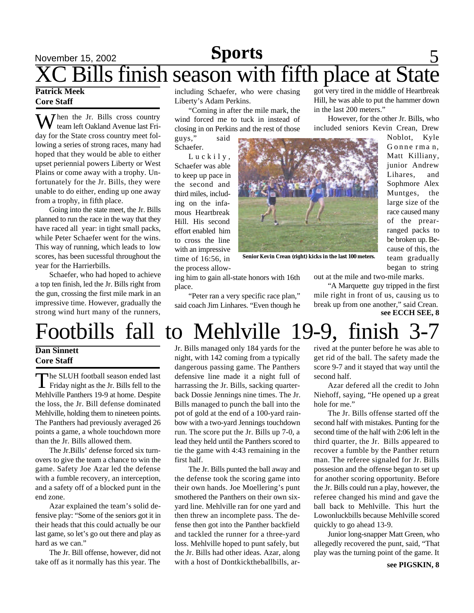# **November 15, 2002 Sports** 5 XC Bills finish season with fifth place at State

#### **Patrick Meek Core Staff**

 $\sum$  hen the Jr. Bills cross country team left Oakland Avenue last Friday for the State cross country meet following a series of strong races, many had hoped that they would be able to either upset periennial powers Liberty or West Plains or come away with a trophy. Unfortunately for the Jr. Bills, they were unable to do either, ending up one away from a trophy, in fifth place.

Going into the state meet, the Jr. Bills planned to run the race in the way that they have raced all year: in tight small packs, while Peter Schaefer went for the wins. This way of running, which leads to low scores, has been sucessful throughout the year for the Harrierbills.

Schaefer, who had hoped to achieve a top ten finish, led the Jr. Bills right from the gun, crossing the first mile mark in an impressive time. However, gradually the strong wind hurt many of the runners,

# Footbills fall to Mehlville 19-9, finish

#### **Dan Sinnett Core Staff**

The SLUH football season ended last<br>Friday night as the Jr. Bills fell to the The SLUH football season ended last Mehlville Panthers 19-9 at home. Despite the loss, the Jr. Bill defense dominated Mehlville, holding them to nineteen points. The Panthers had previously averaged 26 points a game, a whole touchdown more than the Jr. Bills allowed them.

The Jr.Bills' defense forced six turnovers to give the team a chance to win the game. Safety Joe Azar led the defense with a fumble recovery, an interception, and a safety off of a blocked punt in the end zone.

Azar explained the team's solid defensive play: "Some of the seniors got it in their heads that this could actually be our last game, so let's go out there and play as hard as we can."

The Jr. Bill offense, however, did not take off as it normally has this year. The

including Schaefer, who were chasing Liberty's Adam Perkins.

"Coming in after the mile mark, the wind forced me to tuck in instead of closing in on Perkins and the rest of those

guys," said Schaefer.

 $L$ u c k i  $l$  v, Schaefer was able to keep up pace in the second and third miles, including on the infamous Heartbreak Hill. His second effort enabled him to cross the line with an impressive time of 16:56, in the process allow-



**Senior Kevin Crean (right) kicks in the last 100 meters.**

ing him to gain all-state honors with 16th place.

"Peter ran a very specific race plan," said coach Jim Linhares. "Even though he Sophmore Alex Muntges, the large size of the

got very tired in the middle of Heartbreak Hill, he was able to put the hammer down

However, for the other Jr. Bills, who included seniors Kevin Crean, Drew

> Noblot, Kyle G onne rma n, Matt Killiany, junior Andrew Lihares, and

> race caused many of the prearranged packs to be broken up. Because of this, the team gradually began to string

in the last 200 meters."

out at the mile and two-mile marks. "A Marquette guy tripped in the first mile right in front of us, causing us to break up from one another," said Crean. **see ECCH SEE, 8**

Jr. Bills managed only 184 yards for the night, with 142 coming from a typically dangerous passing game. The Panthers defensive line made it a night full of harrassing the Jr. Bills, sacking quarterback Dossie Jennings nine times. The Jr. Bills managed to punch the ball into the pot of gold at the end of a 100-yard rainbow with a two-yard Jennings touchdown run. The score put the Jr. Bills up 7-0, a lead they held until the Panthers scored to tie the game with 4:43 remaining in the first half.

The Jr. Bills punted the ball away and the defense took the scoring game into their own hands. Joe Moellering's punt smothered the Panthers on their own sixyard line. Mehlville ran for one yard and then threw an incomplete pass. The defense then got into the Panther backfield and tackled the runner for a three-yard loss. Mehlville hoped to punt safely, but the Jr. Bills had other ideas. Azar, along with a host of Dontkicktheballbills, arrived at the punter before he was able to get rid of the ball. The safety made the score 9-7 and it stayed that way until the second half.

Azar defered all the credit to John Niehoff, saying, "He opened up a great hole for me."

The Jr. Bills offense started off the second half with mistakes. Punting for the second time of the half with 2:06 left in the third quarter, the Jr. Bills appeared to recover a fumble by the Panther return man. The referee signaled for Jr. Bills possesion and the offense began to set up for another scoring opportunity. Before the Jr. Bills could run a play, however, the referee changed his mind and gave the ball back to Mehlville. This hurt the Lowonluckbills because Mehlville scored quickly to go ahead 13-9.

Junior long-snapper Matt Green, who allegedly recovered the punt, said, "That play was the turning point of the game. It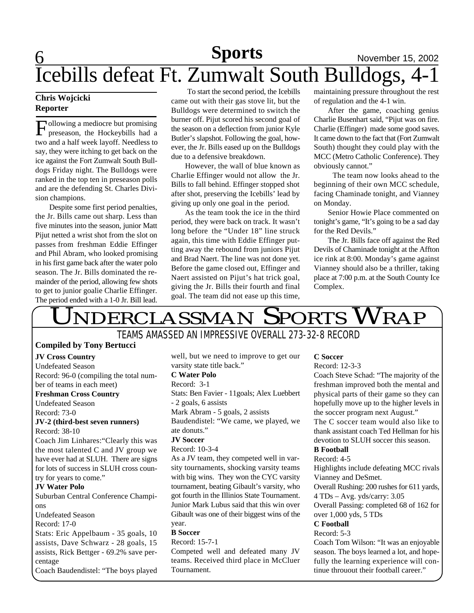## **6 News News** November 15, 2002 Icebills defeat Ft. Zumwalt South Bulldogs, 4-1 **Sports**

#### **Chris Wojcicki Reporter**

Following a mediocre but promising<br>preseason, the Hockeybills had a ollowing a mediocre but promising two and a half week layoff. Needless to say, they were itching to get back on the ice against the Fort Zumwalt South Bulldogs Friday night. The Bulldogs were ranked in the top ten in preseason polls and are the defending St. Charles Division champions.

Despite some first period penalties, the Jr. Bills came out sharp. Less than five minutes into the season, junior Matt Pijut netted a wrist shot from the slot on passes from freshman Eddie Effinger and Phil Abram, who looked promising in his first game back after the water polo season. The Jr. Bills dominated the remainder of the period, allowing few shots to get to junior goalie Charlie Effinger. The period ended with a 1-0 Jr. Bill lead.

 To start the second period, the Icebills came out with their gas stove lit, but the Bulldogs were determined to switch the burner off. Pijut scored his second goal of the season on a deflection from junior Kyle Butler's slapshot. Following the goal, however, the Jr. Bills eased up on the Bulldogs due to a defensive breakdown.

However, the wall of blue known as Charlie Effinger would not allow the Jr. Bills to fall behind. Effinger stopped shot after shot, preserving the Icebills' lead by giving up only one goal in the period.

As the team took the ice in the third period, they were back on track. It wasn't long before the "Under 18" line struck again, this time with Eddie Effinger putting away the rebound from juniors Pijut and Brad Naert. The line was not done yet. Before the game closed out, Effinger and Naert assisted on Pijut's hat trick goal, giving the Jr. Bills their fourth and final goal. The team did not ease up this time,

maintaining pressure throughout the rest of regulation and the 4-1 win.

After the game, coaching genius Charlie Busenhart said, "Pijut was on fire. Charlie (Effinger) made some good saves. It came down to the fact that (Fort Zumwalt South) thought they could play with the MCC (Metro Catholic Conference). They obviously cannot."

 The team now looks ahead to the beginning of their own MCC schedule, facing Chaminade tonight, and Vianney on Monday.

Senior Howie Place commented on tonight's game, "It's going to be a sad day for the Red Devils."

The Jr. Bills face off against the Red Devils of Chaminade tonight at the Affton ice rink at 8:00. Monday's game against Vianney should also be a thriller, taking place at 7:00 p.m. at the South County Ice Complex.

# NDERCLASSMAN SPORTS WRAP

### TEAMS AMASSED AN IMPRESSIVE OVERALL 273-32-8 RECORD

### **Compiled by Tony Bertucci**

#### **JV Cross Country**

Undefeated Season Record: 96-0 (compiling the total number of teams in each meet) **Freshman Cross Country** Undefeated Season

Record: 73-0

#### **JV-2 (third-best seven runners)** Record: 38-10

Coach Jim Linhares:"Clearly this was the most talented C and JV group we have ever had at SLUH. There are signs for lots of success in SLUH cross country for years to come."

#### **JV Water Polo**

Suburban Central Conference Champions

Undefeated Season

#### Record: 17-0

Stats: Eric Appelbaum - 35 goals, 10 assists, Dave Schwarz - 28 goals, 15 assists, Rick Bettger - 69.2% save percentage

Coach Baudendistel: "The boys played

well, but we need to improve to get our varsity state title back." **C Water Polo** Record: 3-1 Stats: Ben Favier - 11goals; Alex Luebbert - 2 goals, 6 assists Mark Abram - 5 goals, 2 assists Baudendistel: "We came, we played, we ate donuts." **JV Soccer**

Record: 10-3-4

As a JV team, they competed well in varsity tournaments, shocking varsity teams with big wins. They won the CYC varsity tournament, beating Gibault's varsity, who got fourth in the Illinios State Tournament. Junior Mark Lubus said that this win over Gibault was one of their biggest wins of the year.

#### **B Soccer**

Record: 15-7-1

Competed well and defeated many JV teams. Received third place in McCluer Tournament.

#### **C Soccer**

Record: 12-3-3

Coach Steve Schad: "The majority of the freshman improved both the mental and physical parts of their game so they can hopefully move up to the higher levels in the soccer program next August." The C soccer team would also like to

thank assistant coach Ted Hellman for his devotion to SLUH soccer this season.

### **B Football**

Record: 4-5

Highlights include defeating MCC rivals Vianney and DeSmet.

Overall Rushing: 200 rushes for 611 yards, 4 TDs – Avg. yds/carry: 3.05

Overall Passing: completed 68 of 162 for over 1,000 yds, 5 TDs

### **C Football**

Record: 5-3

Coach Tom Wilson: "It was an enjoyable season. The boys learned a lot, and hopefully the learning experience will continue throuout their football career."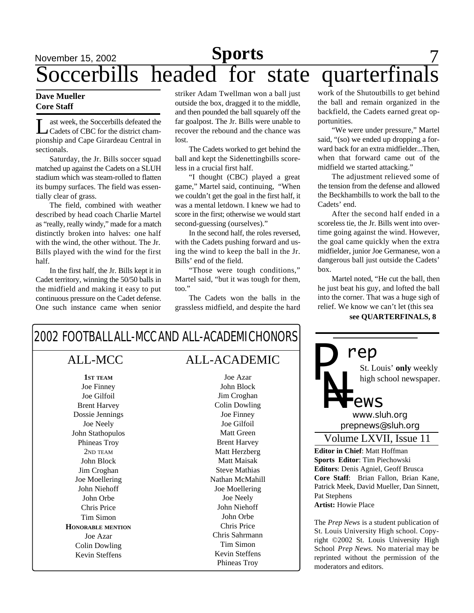## November 15, 2002 **Sports** 7 Soccerbills headed for state quarterfinals **Sports**

#### **Dave Mueller Core Staff**

Let week, the Soccerbills defeated the<br>Cadets of CBC for the district cham-<br>pionship and Cape Girardeau Central in ast week, the Soccerbills defeated the Cadets of CBC for the district chamsectionals.

Saturday, the Jr. Bills soccer squad matched up against the Cadets on a SLUH stadium which was steam-rolled to flatten its bumpy surfaces. The field was essentially clear of grass.

The field, combined with weather described by head coach Charlie Martel as "really, really windy," made for a match distinctly broken into halves: one half with the wind, the other without. The Jr. Bills played with the wind for the first half.

In the first half, the Jr. Bills kept it in Cadet territory, winning the 50/50 balls in the midfield and making it easy to put continuous pressure on the Cadet defense. One such instance came when senior

striker Adam Twellman won a ball just outside the box, dragged it to the middle, and then pounded the ball squarely off the far goalpost. The Jr. Bills were unable to recover the rebound and the chance was lost.

The Cadets worked to get behind the ball and kept the Sidenettingbills scoreless in a crucial first half.

"I thought (CBC) played a great game," Martel said, continuing, "When we couldn't get the goal in the first half, it was a mental letdown. I knew we had to score in the first; otherwise we would start second-guessing (ourselves)."

In the second half, the roles reversed, with the Cadets pushing forward and using the wind to keep the ball in the Jr. Bills' end of the field.

"Those were tough conditions," Martel said, "but it was tough for them, too."

The Cadets won the balls in the grassless midfield, and despite the hard work of the Shutoutbills to get behind the ball and remain organized in the backfield, the Cadets earned great opportunities.

"We were under pressure," Martel said, "(so) we ended up dropping a forward back for an extra midfielder...Then, when that forward came out of the midfield we started attacking."

The adjustment relieved some of the tension from the defense and allowed the Beckhambills to work the ball to the Cadets' end.

After the second half ended in a scoreless tie, the Jr. Bills went into overtime going against the wind. However, the goal came quickly when the extra midfielder, junior Joe Germanese, won a dangerous ball just outside the Cadets' box.

Martel noted, "He cut the ball, then he just beat his guy, and lofted the ball into the corner. That was a huge sigh of relief. We know we can't let (this sea

#### **see QUARTERFINALS, 8**



**Editor in Chief**: Matt Hoffman Volume LXVII, Issue 11 St. Louis' **only** weekly high school newspaper. *prepnews@sluh.org N= rep www.sluh.org ews*

**Sports Editor**: Tim Piechowski **Editors**: Denis Agniel, Geoff Brusca **Core Staff**: Brian Fallon, Brian Kane, Patrick Meek, David Mueller, Dan Sinnett, Pat Stephens

**Artist:** Howie Place

The *Prep News* is a student publication of St. Louis University High school. Copyright ©2002 St. Louis University High School *Prep News.* No material may be reprinted without the permission of the moderators and editors.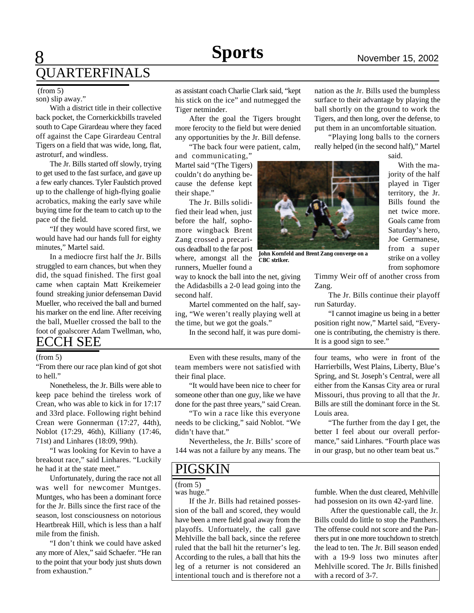# **8 News News November 15, 2002 OUARTERFINALS**

#### (from 5)

#### son) slip away."

With a district title in their collective back pocket, the Cornerkickbills traveled south to Cape Girardeau where they faced off against the Cape Girardeau Central Tigers on a field that was wide, long, flat, astroturf, and windless.

The Jr. Bills started off slowly, trying to get used to the fast surface, and gave up a few early chances. Tyler Faulstich proved up to the challenge of high-flying goalie acrobatics, making the early save while buying time for the team to catch up to the pace of the field.

"If they would have scored first, we would have had our hands full for eighty minutes," Martel said.

In a mediocre first half the Jr. Bills struggled to earn chances, but when they did, the squad finished. The first goal came when captain Matt Kreikemeier found streaking junior defenseman David Mueller, who received the ball and burned his marker on the end line. After receiving the ball, Mueller crossed the ball to the foot of goalscorer Adam Twellman, who,

### ECCH SEE

"From there our race plan kind of got shot to hell."

Nonetheless, the Jr. Bills were able to keep pace behind the tireless work of Crean, who was able to kick in for 17:17 and 33rd place. Following right behind Crean were Gonnerman (17:27, 44th), Noblot (17:29, 46th), Killiany (17:46, 71st) and Linhares (18:09, 99th).

"I was looking for Kevin to have a breakout race," said Linhares. "Luckily he had it at the state meet."

Unfortunately, during the race not all was well for newcomer Muntges. Muntges, who has been a dominant force for the Jr. Bills since the first race of the season, lost consciousness on notorious Heartbreak Hill, which is less than a half mile from the finish.

"I don't think we could have asked any more of Alex," said Schaefer. "He ran to the point that your body just shuts down from exhaustion."

as assistant coach Charlie Clark said, "kept his stick on the ice" and nutmegged the Tiger netminder.

After the goal the Tigers brought more ferocity to the field but were denied any opportunities by the Jr. Bill defense.

"The back four were patient, calm, and communicating,"

Martel said "(The Tigers) couldn't do anything because the defense kept their shape."

The Jr. Bills solidified their lead when, just before the half, sophomore wingback Brent Zang crossed a precarious deadball to the far post where, amongst all the runners, Mueller found a

way to knock the ball into the net, giving the Adidasbills a 2-0 lead going into the second half.

Martel commented on the half, saying, "We weren't really playing well at the time, but we got the goals."

In the second half, it was pure domi-

(from 5) Even with these results, many of the team members were not satisfied with their final place.

> "It would have been nice to cheer for someone other than one guy, like we have done for the past three years," said Crean.

> "To win a race like this everyone needs to be clicking," said Noblot. "We didn't have that."

> Nevertheless, the Jr. Bills' score of 144 was not a failure by any means. The

**PIGSKIN** 

was huge." (from 5)

If the Jr. Bills had retained possession of the ball and scored, they would have been a mere field goal away from the playoffs. Unfortuately, the call gave Mehlville the ball back, since the referee ruled that the ball hit the returner's leg. According to the rules, a ball that hits the leg of a returner is not considered an intentional touch and is therefore not a

nation as the Jr. Bills used the bumpless surface to their advantage by playing the ball shortly on the ground to work the Tigers, and then long, over the defense, to put them in an uncomfortable situation.

"Playing long balls to the corners really helped (in the second half)," Martel

said.

With the majority of the half played in Tiger territory, the Jr. Bills found the net twice more. Goals came from Saturday's hero, Joe Germanese, from a super strike on a volley from sophomore

Timmy Weir off of another cross from Zang.

The Jr. Bills continue their playoff run Saturday.

"I cannot imagine us being in a better position right now," Martel said, "Everyone is contributing, the chemistry is there. It is a good sign to see."

four teams, who were in front of the Harrierbills, West Plains, Liberty, Blue's Spring, and St. Joseph's Central, were all either from the Kansas City area or rural Missouri, thus proving to all that the Jr. Bills are still the dominant force in the St. Louis area.

"The further from the day I get, the better I feel about our overall performance," said Linhares. "Fourth place was in our grasp, but no other team beat us."

fumble. When the dust cleared, Mehlville had possesion on its own 42-yard line.

 After the questionable call, the Jr. Bills could do little to stop the Panthers. The offense could not score and the Panthers put in one more touchdown to stretch the lead to ten. The Jr. Bill season ended with a 19-9 loss two minutes after Mehlville scored. The Jr. Bills finished with a record of 3-7.



**John Kornfeld and Brent Zang converge on a CBC striker.**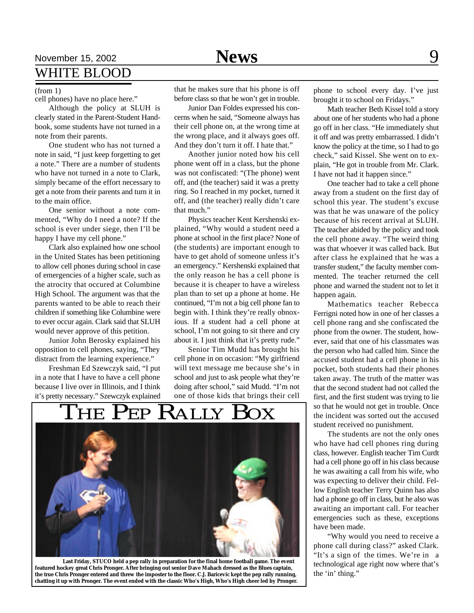# November 15, 2002 **News** 9 WHITE BLOOD

#### (from 1)

cell phones) have no place here."

Although the policy at SLUH is clearly stated in the Parent-Student Handbook, some students have not turned in a note from their parents.

One student who has not turned a note in said, "I just keep forgetting to get a note." There are a number of students who have not turned in a note to Clark, simply became of the effort necessary to get a note from their parents and turn it in to the main office.

One senior without a note commented, "Why do I need a note? If the school is ever under siege, then I'll be happy I have my cell phone."

Clark also explained how one school in the United States has been petitioning to allow cell phones during school in case of emergencies of a higher scale, such as the atrocity that occured at Columbine High School. The argument was that the parents wanted to be able to reach their children if something like Columbine were to ever occur again. Clark said that SLUH would never approve of this petition.

Junior John Berosky explained his opposition to cell phones, saying, "They distract from the learning experience."

Freshman Ed Szewczyk said, "I put in a note that I have to have a cell phone because I live over in Illinois, and I think it's pretty necessary." Szewczyk explained that he makes sure that his phone is off before class so that he won't get in trouble.

Junior Dan Foldes expressed his concerns when he said, "Someone always has their cell phone on, at the wrong time at the wrong place, and it always goes off. And they don't turn it off. I hate that."

Another junior noted how his cell phone went off in a class, but the phone was not confiscated: "(The phone) went off, and (the teacher) said it was a pretty ring. So I reached in my pocket, turned it off, and (the teacher) really didn't care that much."

Physics teacher Kent Kershenski explained, "Why would a student need a phone at school in the first place? None of (the students) are important enough to have to get ahold of someone unless it's an emergency." Kershenski explained that the only reason he has a cell phone is because it is cheaper to have a wireless plan than to set up a phone at home. He continued, "I'm not a big cell phone fan to begin with. I think they're really obnoxious. If a student had a cell phone at school, I'm not going to sit there and cry about it. I just think that it's pretty rude."

Senior Tim Mudd has brought his cell phone in on occasion: "My girlfriend will text message me because she's in school and just to ask people what they're doing after school," said Mudd. "I'm not one of those kids that brings their cell



**Last Friday, STUCO held a pep rally in preparation for the final home football game. The event featured hockey great Chris Pronger. After bringing out senior Dave Mahach dressed as the Blues captain, the true Chris Pronger entered and threw the imposter to the floor. C.J. Baricevic kept the pep rally running, chatting it up with Pronger. The event ended with the classic Who's High, Who's High cheer led by Pronger.**

phone to school every day. I've just brought it to school on Fridays."

Math teacher Beth Kissel told a story about one of her students who had a phone go off in her class. "He immediately shut it off and was pretty embarrassed. I didn't know the policy at the time, so I had to go check," said Kissel. She went on to explain, "He got in trouble from Mr. Clark. I have not had it happen since."

One teacher had to take a cell phone away from a student on the first day of school this year. The student's excuse was that he was unaware of the policy because of his recent arrival at SLUH. The teacher abided by the policy and took the cell phone away. "The weird thing was that whoever it was called back. But after class he explained that he was a transfer student," the faculty member commented. The teacher returned the cell phone and warned the student not to let it happen again.

Mathematics teacher Rebecca Ferrigni noted how in one of her classes a cell phone rang and she confiscated the phone from the owner. The student, however, said that one of his classmates was the person who had called him. Since the accused student had a cell phone in his pocket, both students had their phones taken away. The truth of the matter was that the second student had not called the first, and the first student was trying to lie so that he would not get in trouble. Once the incident was sorted out the accused student received no punishment.

The students are not the only ones who have had cell phones ring during class, however. English teacher Tim Curdt had a cell phone go off in his class because he was awaiting a call from his wife, who was expecting to deliver their child. Fellow English teacher Terry Quinn has also had a phone go off in class, but he also was awaiting an important call. For teacher emergencies such as these, exceptions have been made.

"Why would you need to receive a phone call during class?" asked Clark. "It's a sign of the times. We're in a technological age right now where that's the 'in' thing."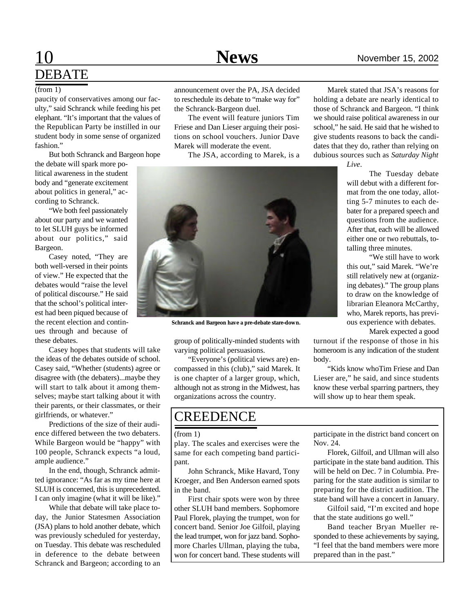# 10 **News** November 15, 2002 DEBATE

paucity of conservatives among our faculty," said Schranck while feeding his pet elephant. "It's important that the values of the Republican Party be instilled in our student body in some sense of organized fashion."

But both Schranck and Bargeon hope

the debate will spark more political awareness in the student body and "generate excitement about politics in general," according to Schranck.

"We both feel passionately about our party and we wanted to let SLUH guys be informed about our politics," said Bargeon.

Casey noted, "They are both well-versed in their points of view." He expected that the debates would "raise the level of political discourse." He said that the school's political interest had been piqued because of the recent election and continues through and because of these debates.

Casey hopes that students will take the ideas of the debates outside of school. Casey said, "Whether (students) agree or disagree with (the debaters)...maybe they will start to talk about it among themselves; maybe start talking about it with their parents, or their classmates, or their girlfriends, or whatever."

Predictions of the size of their audience differed between the two debaters. While Bargeon would be "happy" with 100 people, Schranck expects "a loud, ample audience."

In the end, though, Schranck admitted ignorance: "As far as my time here at SLUH is concerned, this is unprecedented. I can only imagine (what it will be like)."

While that debate will take place today, the Junior Statesmen Association (JSA) plans to hold another debate, which was previously scheduled for yesterday, on Tuesday. This debate was rescheduled in deference to the debate between Schranck and Bargeon; according to an announcement over the PA, JSA decided to reschedule its debate to "make way for" the Schranck-Bargeon duel.

The event will feature juniors Tim Friese and Dan Lieser arguing their positions on school vouchers. Junior Dave Marek will moderate the event.

The JSA, according to Marek, is a



**Schranck and Bargeon have a pre-debate stare-down.**

group of politically-minded students with varying political persuasions.

"Everyone's (political views are) encompassed in this (club)," said Marek. It is one chapter of a larger group, which, although not as strong in the Midwest, has organizations across the country.

### **CREEDENCE**

#### (from 1)

play. The scales and exercises were the same for each competing band participant.

John Schranck, Mike Havard, Tony Kroeger, and Ben Anderson earned spots in the band.

First chair spots were won by three other SLUH band members. Sophomore Paul Florek, playing the trumpet, won for concert band. Senior Joe Gilfoil, playing the lead trumpet, won for jazz band. Sophomore Charles Ullman, playing the tuba, won for concert band. These students will

Marek stated that JSA's reasons for holding a debate are nearly identical to those of Schranck and Bargeon. "I think we should raise political awareness in our school," he said. He said that he wished to give students reasons to back the candidates that they do, rather than relying on dubious sources such as *Saturday Night*

*Live*.

The Tuesday debate will debut with a different format from the one today, allotting 5-7 minutes to each debater for a prepared speech and questions from the audience. After that, each will be allowed either one or two rebuttals, totalling three minutes.

"We still have to work this out," said Marek. "We're still relatively new at (organizing debates)." The group plans to draw on the knowledge of librarian Eleanora McCarthy, who, Marek reports, has previous experience with debates.

Marek expected a good

turnout if the response of those in his homeroom is any indication of the student body.

"Kids know whoTim Friese and Dan Lieser are," he said, and since students know these verbal sparring partners, they will show up to hear them speak.

participate in the district band concert on Nov. 24.

Florek, Gilfoil, and Ullman will also participate in the state band audition. This will be held on Dec. 7 in Columbia. Preparing for the state audition is similar to preparing for the district audition. The state band will have a concert in January.

Gilfoil said, "I'm excited and hope that the state auditions go well."

Band teacher Bryan Mueller responded to these achievements by saying, "I feel that the band members were more prepared than in the past."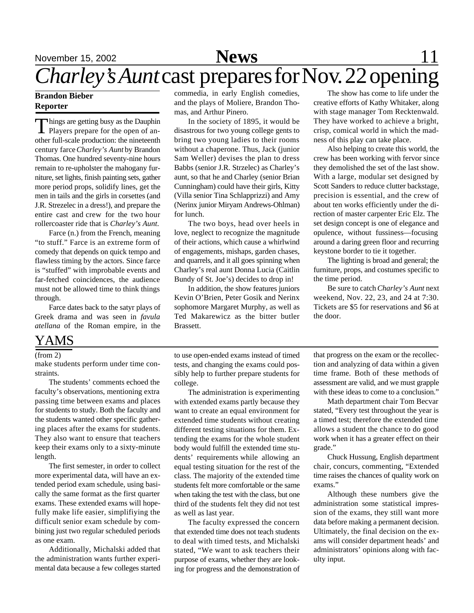# November 15, 2002 **News** 11 *Charley's Aunt* cast prepares for Nov. 22 opening

#### **Brandon Bieber Reporter**

Things are getting busy as the Dauphin<br>Players prepare for the open of an-Players prepare for the open of another full-scale production: the nineteenth century farce *Charley's Aunt* by Brandon Thomas. One hundred seventy-nine hours remain to re-upholster the mahogany furniture, set lights, finish painting sets, gather more period props, solidify lines, get the men in tails and the girls in corsettes (and J.R. Strezelec in a dress!), and prepare the entire cast and crew for the two hour rollercoaster ride that is *Charley's Aunt*.

Farce (n.) from the French, meaning "to stuff." Farce is an extreme form of comedy that depends on quick tempo and flawless timing by the actors. Since farce is "stuffed" with improbable events and far-fetched coincidences, the audience must not be allowed time to think things through.

Farce dates back to the satyr plays of Greek drama and was seen in *favula atellana* of the Roman empire, in the

### YAMS

#### (from 2)

make students perform under time constraints.

The students' comments echoed the faculty's observations, mentioning extra passing time between exams and places for students to study. Both the faculty and the students wanted other specific gathering places after the exams for students. They also want to ensure that teachers keep their exams only to a sixty-minute length.

The first semester, in order to collect more experimental data, will have an extended period exam schedule, using basically the same format as the first quarter exams. These extended exams will hopefully make life easier, simplifiying the difficult senior exam schedule by combining just two regular scheduled periods as one exam.

Additionally, Michalski added that the administration wants further experimental data because a few colleges started commedia, in early English comedies, and the plays of Moliere, Brandon Thomas, and Arthur Pinero.

In the society of 1895, it would be disastrous for two young college gents to bring two young ladies to their rooms without a chaperone. Thus, Jack (junior Sam Weller) devises the plan to dress Babbs (senior J.R. Strzelec) as Charley's aunt, so that he and Charley (senior Brian Cunningham) could have their girls, Kitty (Villa senior Tina Schlapprizzi) and Amy (Nerinx junior Miryam Andrews-Ohlman) for lunch.

The two boys, head over heels in love, neglect to recognize the magnitude of their actions, which cause a whirlwind of engagements, mishaps, garden chases, and quarrels, and it all goes spinning when Charley's real aunt Donna Lucia (Caitlin Bundy of St. Joe's) decides to drop in!

In addition, the show features juniors Kevin O'Brien, Peter Gosik and Nerinx sophomore Margaret Murphy, as well as Ted Makarewicz as the bitter butler **Brassett** 

The show has come to life under the creative efforts of Kathy Whitaker, along with stage manager Tom Recktenwald. They have worked to achieve a bright, crisp, comical world in which the madness of this play can take place.

Also helping to create this world, the crew has been working with fervor since they demolished the set of the last show. With a large, modular set designed by Scott Sanders to reduce clutter backstage, precision is essential, and the crew of about ten works efficiently under the direction of master carpenter Eric Elz. The set design concept is one of elegance and opulence, without fussiness—focusing around a daring green floor and recurring keystone border to tie it together.

The lighting is broad and general; the furniture, props, and costumes specific to the time period.

Be sure to catch *Charley's Aunt* next weekend, Nov. 22, 23, and 24 at 7:30. Tickets are \$5 for reservations and \$6 at the door.

to use open-ended exams instead of timed tests, and changing the exams could possibly help to further prepare students for college.

The administration is experimenting with extended exams partly because they want to create an equal environment for extended time students without creating different testing situations for them. Extending the exams for the whole student body would fulfill the extended time students' requirements while allowing an equal testing situation for the rest of the class. The majority of the extended time students felt more comfortable or the same when taking the test with the class, but one third of the students felt they did not test as well as last year.

The faculty expressed the concern that extended time does not teach students to deal with timed tests, and Michalski stated, "We want to ask teachers their purpose of exams, whether they are looking for progress and the demonstration of

that progress on the exam or the recollection and analyzing of data within a given time frame. Both of these methods of assessment are valid, and we must grapple with these ideas to come to a conclusion."

Math department chair Tom Becvar stated, "Every test throughout the year is a timed test; therefore the extended time allows a student the chance to do good work when it has a greater effect on their grade."

Chuck Hussung, English department chair, concurs, commenting, "Extended time raises the chances of quality work on exams."

Although these numbers give the administration some statistical impression of the exams, they still want more data before making a permanent decision. Ultimately, the final decision on the exams will consider department heads' and administrators' opinions along with faculty input.